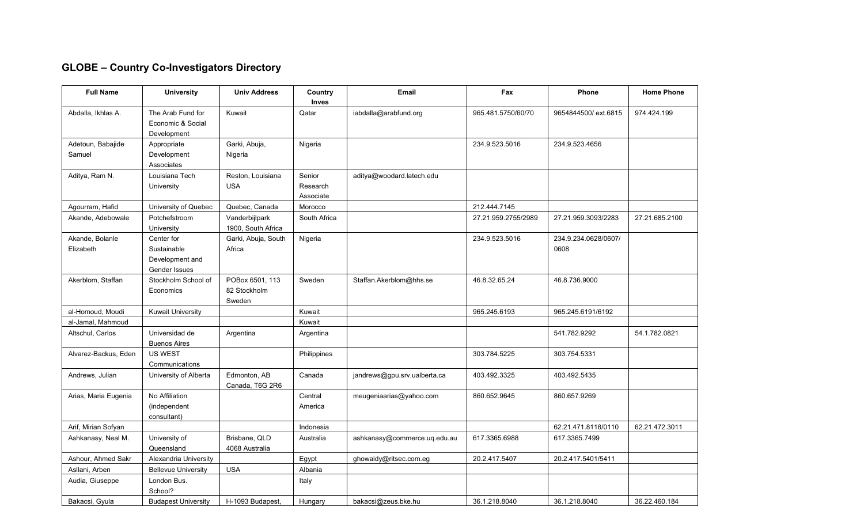## **GLOBE – Country Co-Investigators Directory**

| <b>Full Name</b>             | <b>University</b>                                             | <b>Univ Address</b>                       | Country<br>Inves                | <b>Email</b>                 | Fax                 | <b>Phone</b>                 | <b>Home Phone</b> |
|------------------------------|---------------------------------------------------------------|-------------------------------------------|---------------------------------|------------------------------|---------------------|------------------------------|-------------------|
| Abdalla, Ikhlas A.           | The Arab Fund for<br>Economic & Social<br>Development         | Kuwait                                    | Qatar                           | iabdalla@arabfund.org        | 965.481.5750/60/70  | 9654844500/ext.6815          | 974.424.199       |
| Adetoun, Babajide<br>Samuel  | Appropriate<br>Development<br>Associates                      | Garki, Abuja,<br>Nigeria                  | Nigeria                         |                              | 234.9.523.5016      | 234.9.523.4656               |                   |
| Aditya, Ram N.               | Louisiana Tech<br>University                                  | Reston, Louisiana<br><b>USA</b>           | Senior<br>Research<br>Associate | aditya@woodard.latech.edu    |                     |                              |                   |
| Agourram, Hafid              | University of Quebec                                          | Quebec, Canada                            | Morocco                         |                              | 212.444.7145        |                              |                   |
| Akande, Adebowale            | Potchefstroom<br>University                                   | Vanderbijlpark<br>1900, South Africa      | South Africa                    |                              | 27.21.959.2755/2989 | 27.21.959.3093/2283          | 27.21.685.2100    |
| Akande, Bolanle<br>Elizabeth | Center for<br>Sustainable<br>Development and<br>Gender Issues | Garki, Abuja, South<br>Africa             | Nigeria                         |                              | 234.9.523.5016      | 234.9.234.0628/0607/<br>0608 |                   |
| Akerblom, Staffan            | Stockholm School of<br>Economics                              | POBox 6501, 113<br>82 Stockholm<br>Sweden | Sweden                          | Staffan.Akerblom@hhs.se      | 46.8.32.65.24       | 46.8.736.9000                |                   |
| al-Homoud, Moudi             | <b>Kuwait University</b>                                      |                                           | Kuwait                          |                              | 965.245.6193        | 965.245.6191/6192            |                   |
| al-Jamal, Mahmoud            |                                                               |                                           | Kuwait                          |                              |                     |                              |                   |
| Altschul, Carlos             | Universidad de<br><b>Buenos Aires</b>                         | Argentina                                 | Argentina                       |                              |                     | 541.782.9292                 | 54.1.782.0821     |
| Alvarez-Backus, Eden         | <b>US WEST</b><br>Communications                              |                                           | Philippines                     |                              | 303.784.5225        | 303.754.5331                 |                   |
| Andrews, Julian              | University of Alberta                                         | Edmonton, AB<br>Canada, T6G 2R6           | Canada                          | jandrews@gpu.srv.ualberta.ca | 403.492.3325        | 403.492.5435                 |                   |
| Arias, Maria Eugenia         | No Affiliation<br>(independent<br>consultant)                 |                                           | Central<br>America              | meugeniaarias@yahoo.com      | 860.652.9645        | 860.657.9269                 |                   |
| Arif, Mirian Sofyan          |                                                               |                                           | Indonesia                       |                              |                     | 62.21.471.8118/0110          | 62.21.472.3011    |
| Ashkanasy, Neal M.           | University of<br>Queensland                                   | Brisbane, QLD<br>4068 Australia           | Australia                       | ashkanasy@commerce.uq.edu.au | 617.3365.6988       | 617.3365.7499                |                   |
| Ashour, Ahmed Sakr           | Alexandria University                                         |                                           | Egypt                           | ghowaidy@ritsec.com.eg       | 20.2.417.5407       | 20.2.417.5401/5411           |                   |
| Asllani, Arben               | <b>Bellevue University</b>                                    | <b>USA</b>                                | Albania                         |                              |                     |                              |                   |
| Audia, Giuseppe              | London Bus.<br>School?                                        |                                           | Italy                           |                              |                     |                              |                   |
| Bakacsi, Gyula               | <b>Budapest University</b>                                    | H-1093 Budapest,                          | Hungary                         | bakacsi@zeus.bke.hu          | 36.1.218.8040       | 36.1.218.8040                | 36.22.460.184     |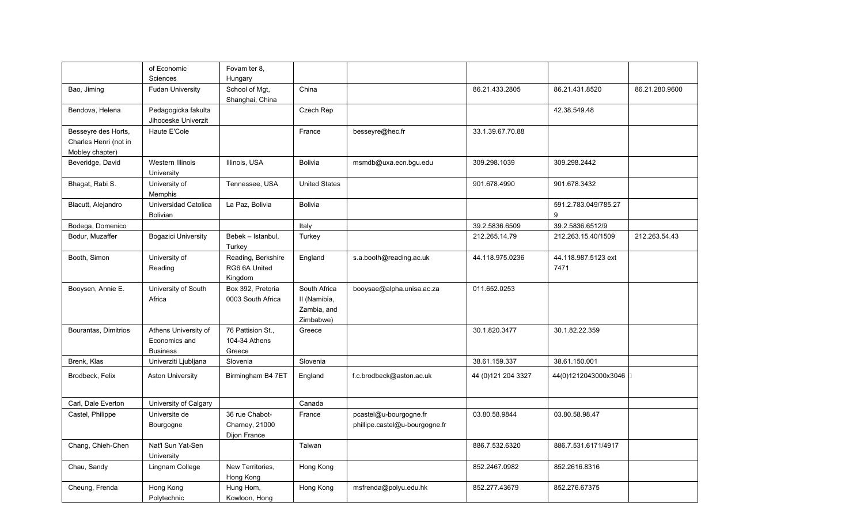|                                                                 | of Economic                                              | Fovam ter 8.                                     |                                                          |                                                          |                     |                             |                |
|-----------------------------------------------------------------|----------------------------------------------------------|--------------------------------------------------|----------------------------------------------------------|----------------------------------------------------------|---------------------|-----------------------------|----------------|
|                                                                 | Sciences                                                 | Hungary                                          |                                                          |                                                          |                     |                             |                |
| Bao, Jiming                                                     | <b>Fudan University</b>                                  | School of Mgt,<br>Shanghai, China                | China                                                    |                                                          | 86.21.433.2805      | 86.21.431.8520              | 86.21.280.9600 |
| Bendova, Helena                                                 | Pedagogicka fakulta<br>Jihoceske Univerzit               |                                                  | Czech Rep                                                |                                                          |                     | 42.38.549.48                |                |
| Besseyre des Horts,<br>Charles Henri (not in<br>Mobley chapter) | Haute E'Cole                                             |                                                  | France                                                   | besseyre@hec.fr                                          | 33.1.39.67.70.88    |                             |                |
| Beveridge, David                                                | Western Illinois<br>University                           | Illinois, USA                                    | Bolivia                                                  | msmdb@uxa.ecn.bgu.edu                                    | 309.298.1039        | 309.298.2442                |                |
| Bhagat, Rabi S.                                                 | University of<br>Memphis                                 | Tennessee, USA                                   | <b>United States</b>                                     |                                                          | 901.678.4990        | 901.678.3432                |                |
| Blacutt, Alejandro                                              | Universidad Catolica<br><b>Bolivian</b>                  | La Paz, Bolivia                                  | <b>Bolivia</b>                                           |                                                          |                     | 591.2.783.049/785.27<br>9   |                |
| Bodega, Domenico                                                |                                                          |                                                  | Italy                                                    |                                                          | 39.2.5836.6509      | 39.2.5836.6512/9            |                |
| Bodur, Muzaffer                                                 | <b>Bogazici University</b>                               | Bebek - Istanbul,<br>Turkey                      | Turkey                                                   |                                                          | 212.265.14.79       | 212.263.15.40/1509          | 212.263.54.43  |
| Booth, Simon                                                    | University of<br>Reading                                 | Reading, Berkshire<br>RG6 6A United<br>Kingdom   | England                                                  | s.a.booth@reading.ac.uk                                  | 44.118.975.0236     | 44.118.987.5123 ext<br>7471 |                |
| Booysen, Annie E.                                               | University of South<br>Africa                            | Box 392, Pretoria<br>0003 South Africa           | South Africa<br>II (Namibia,<br>Zambia, and<br>Zimbabwe) | booysae@alpha.unisa.ac.za                                | 011.652.0253        |                             |                |
| Bourantas, Dimitrios                                            | Athens University of<br>Economics and<br><b>Business</b> | 76 Pattision St.,<br>104-34 Athens<br>Greece     | Greece                                                   |                                                          | 30.1.820.3477       | 30.1.82.22.359              |                |
| Brenk, Klas                                                     | Univerziti Ljubljana                                     | Slovenia                                         | Slovenia                                                 |                                                          | 38.61.159.337       | 38.61.150.001               |                |
| Brodbeck, Felix                                                 | <b>Aston University</b>                                  | Birmingham B4 7ET                                | England                                                  | f.c.brodbeck@aston.ac.uk                                 | 44 (0) 121 204 3327 | 44(0)1212043000x3046        |                |
| Carl, Dale Everton                                              | University of Calgary                                    |                                                  | Canada                                                   |                                                          |                     |                             |                |
| Castel, Philippe                                                | Universite de<br>Bourgogne                               | 36 rue Chabot-<br>Charney, 21000<br>Dijon France | France                                                   | pcastel@u-bourgogne.fr<br>phillipe.castel@u-bourgogne.fr | 03.80.58.9844       | 03.80.58.98.47              |                |
| Chang, Chieh-Chen                                               | Nat'l Sun Yat-Sen<br>University                          |                                                  | Taiwan                                                   |                                                          | 886.7.532.6320      | 886.7.531.6171/4917         |                |
| Chau, Sandy                                                     | Lingnam College                                          | New Territories,<br>Hong Kong                    | Hong Kong                                                |                                                          | 852.2467.0982       | 852.2616.8316               |                |
| Cheung, Frenda                                                  | Hong Kong<br>Polytechnic                                 | Hung Hom,<br>Kowloon, Hong                       | Hong Kong                                                | msfrenda@polyu.edu.hk                                    | 852.277.43679       | 852.276.67375               |                |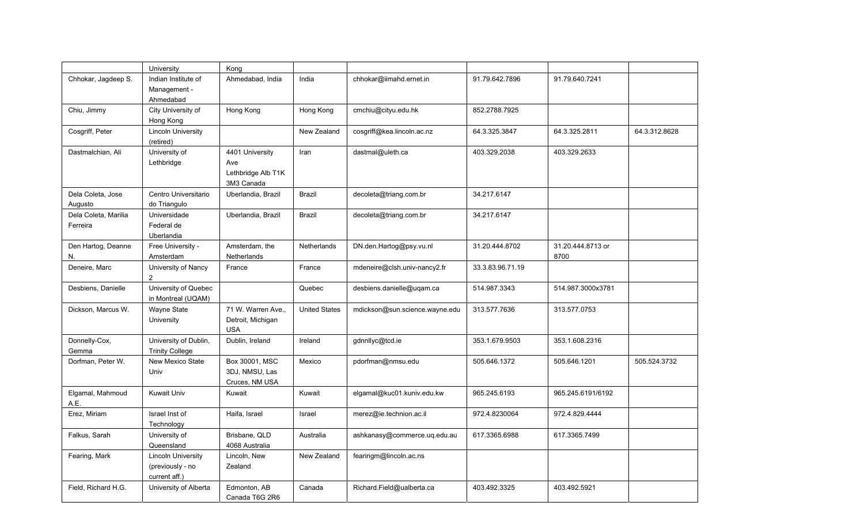|                                  | University                                                     | Kong                                                       |                      |                                |                  |                           |               |
|----------------------------------|----------------------------------------------------------------|------------------------------------------------------------|----------------------|--------------------------------|------------------|---------------------------|---------------|
| Chhokar, Jagdeep S.              | Indian Institute of<br>Management -<br>Ahmedabad               | Ahmedabad, India                                           | India                | chhokar@iimahd.ernet.in        | 91.79.642.7896   | 91.79.640.7241            |               |
| Chiu, Jimmy                      | City University of<br>Hong Kong                                | Hong Kong                                                  | Hong Kong            | cmchiu@cityu.edu.hk            | 852.2788.7925    |                           |               |
| Cosgriff, Peter                  | <b>Lincoln University</b><br>(retired)                         |                                                            | New Zealand          | cosgriff@kea.lincoln.ac.nz     | 64.3.325.3847    | 64.3.325.2811             | 64.3.312.8628 |
| Dastmalchian, Ali                | University of<br>Lethbridge                                    | 4401 University<br>Ave<br>Lethbridge Alb T1K<br>3M3 Canada | Iran                 | dastmal@uleth.ca               | 403.329.2038     | 403.329.2633              |               |
| Dela Coleta, Jose<br>Augusto     | Centro Universitario<br>do Triangulo                           | Uberlandia, Brazil                                         | <b>Brazil</b>        | decoleta@triang.com.br         | 34.217.6147      |                           |               |
| Dela Coleta, Marilia<br>Ferreira | Universidade<br>Federal de<br>Uberlandia                       | Uberlandia, Brazil                                         | <b>Brazil</b>        | decoleta@triang.com.br         | 34.217.6147      |                           |               |
| Den Hartog, Deanne<br>N.         | Free University -<br>Amsterdam                                 | Amsterdam, the<br>Netherlands                              | Netherlands          | DN.den.Hartog@psy.vu.nl        | 31.20.444.8702   | 31.20.444.8713 or<br>8700 |               |
| Deneire, Marc                    | University of Nancy<br>2                                       | France                                                     | France               | mdeneire@clsh.univ-nancy2.fr   | 33.3.83.96.71.19 |                           |               |
| Desbiens, Danielle               | University of Quebec<br>in Montreal (UQAM)                     |                                                            | Quebec               | desbiens.danielle@uqam.ca      | 514.987.3343     | 514.987.3000x3781         |               |
| Dickson, Marcus W.               | Wayne State<br>University                                      | 71 W. Warren Ave.,<br>Detroit, Michigan<br><b>USA</b>      | <b>United States</b> | mdickson@sun.science.wayne.edu | 313.577.7636     | 313.577.0753              |               |
| Donnelly-Cox,<br>Gemma           | University of Dublin,<br><b>Trinity College</b>                | Dublin, Ireland                                            | Ireland              | gdnnllyc@tcd.ie                | 353.1.679.9503   | 353.1.608.2316            |               |
| Dorfman, Peter W.                | New Mexico State<br>Univ                                       | Box 30001, MSC<br>3DJ, NMSU, Las<br>Cruces, NM USA         | Mexico               | pdorfman@nmsu.edu              | 505.646.1372     | 505.646.1201              | 505.524.3732  |
| Elgamal, Mahmoud<br>A.E.         | <b>Kuwait Univ</b>                                             | Kuwait                                                     | Kuwait               | elgamal@kuc01.kuniv.edu.kw     | 965.245.6193     | 965.245.6191/6192         |               |
| Erez, Miriam                     | Israel Inst of<br>Technology                                   | Haifa, Israel                                              | Israel               | merez@ie.technion.ac.il        | 972.4.8230064    | 972.4.829.4444            |               |
| Falkus, Sarah                    | University of<br>Queensland                                    | Brisbane, QLD<br>4068 Australia                            | Australia            | ashkanasy@commerce.uq.edu.au   | 617.3365.6988    | 617.3365.7499             |               |
| Fearing, Mark                    | <b>Lincoln University</b><br>(previously - no<br>current aff.) | Lincoln, New<br>Zealand                                    | New Zealand          | fearingm@lincoln.ac.ns         |                  |                           |               |
| Field, Richard H.G.              | University of Alberta                                          | Edmonton, AB<br>Canada T6G 2R6                             | Canada               | Richard.Field@ualberta.ca      | 403.492.3325     | 403.492.5921              |               |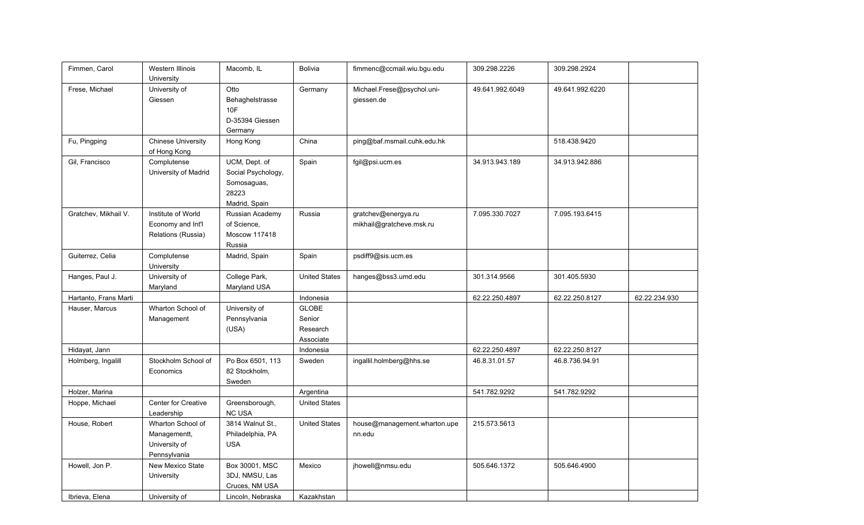| Fimmen, Carol         | <b>Western Illinois</b><br>University                              | Macomb, IL                                                                   | <b>Bolivia</b>                                  | fimmenc@ccmail.wiu.bgu.edu                      | 309.298.2226    | 309.298.2924    |               |
|-----------------------|--------------------------------------------------------------------|------------------------------------------------------------------------------|-------------------------------------------------|-------------------------------------------------|-----------------|-----------------|---------------|
| Frese, Michael        | University of<br>Giessen                                           | Otto<br>Behaghelstrasse<br>10F<br>D-35394 Giessen<br>Germany                 | Germany                                         | Michael.Frese@psychol.uni-<br>giessen.de        | 49.641.992.6049 | 49.641.992.6220 |               |
| Fu, Pingping          | <b>Chinese University</b><br>of Hong Kong                          | Hong Kong                                                                    | China                                           | ping@baf.msmail.cuhk.edu.hk                     |                 | 518.438.9420    |               |
| Gil, Francisco        | Complutense<br>University of Madrid                                | UCM, Dept. of<br>Social Psychology,<br>Somosaguas,<br>28223<br>Madrid, Spain | Spain                                           | fgil@psi.ucm.es                                 | 34.913.943.189  | 34.913.942.886  |               |
| Gratchev, Mikhail V.  | Institute of World<br>Economy and Int'l<br>Relations (Russia)      | Russian Academy<br>of Science,<br>Moscow 117418<br>Russia                    | Russia                                          | gratchev@energya.ru<br>mikhail@gratcheve.msk.ru | 7.095.330.7027  | 7.095.193.6415  |               |
| Guiterrez, Celia      | Complutense<br>University                                          | Madrid, Spain                                                                | Spain                                           | psdiff9@sis.ucm.es                              |                 |                 |               |
| Hanges, Paul J.       | University of<br>Maryland                                          | College Park,<br>Maryland USA                                                | <b>United States</b>                            | hanges@bss3.umd.edu                             | 301.314.9566    | 301.405.5930    |               |
| Hartanto, Frans Marti |                                                                    |                                                                              | Indonesia                                       |                                                 | 62.22.250.4897  | 62.22.250.8127  | 62.22.234.930 |
| Hauser, Marcus        | Wharton School of<br>Management                                    | University of<br>Pennsylvania<br>(USA)                                       | <b>GLOBE</b><br>Senior<br>Research<br>Associate |                                                 |                 |                 |               |
| Hidayat, Jann         |                                                                    |                                                                              | Indonesia                                       |                                                 | 62.22.250.4897  | 62.22.250.8127  |               |
| Holmberg, Ingalill    | Stockholm School of<br>Economics                                   | Po Box 6501, 113<br>82 Stockholm,<br>Sweden                                  | Sweden                                          | ingallil.holmberg@hhs.se                        | 46.8.31.01.57   | 46.8.736.94.91  |               |
| Holzer, Marina        |                                                                    |                                                                              | Argentina                                       |                                                 | 541.782.9292    | 541.782.9292    |               |
| Hoppe, Michael        | <b>Center for Creative</b><br>Leadership                           | Greensborough,<br><b>NC USA</b>                                              | <b>United States</b>                            |                                                 |                 |                 |               |
| House, Robert         | Wharton School of<br>Managementt,<br>University of<br>Pennsylvania | 3814 Walnut St.,<br>Philadelphia, PA<br><b>USA</b>                           | <b>United States</b>                            | house@management.wharton.upe<br>nn.edu          | 215.573.5613    |                 |               |
| Howell, Jon P.        | New Mexico State<br>University                                     | Box 30001, MSC<br>3DJ, NMSU, Las<br>Cruces, NM USA                           | Mexico                                          | jhowell@nmsu.edu                                | 505.646.1372    | 505.646.4900    |               |
| Ibrieva, Elena        | University of                                                      | Lincoln, Nebraska                                                            | Kazakhstan                                      |                                                 |                 |                 |               |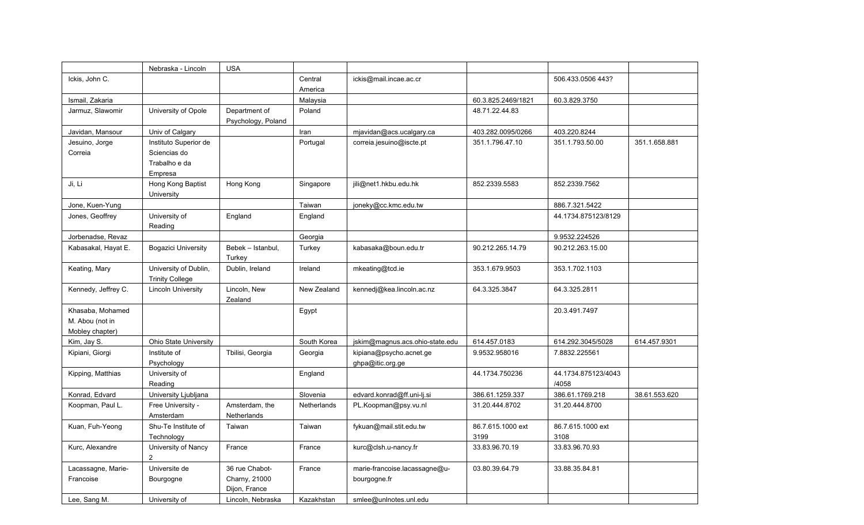|                     | Nebraska - Lincoln         | <b>USA</b>         |             |                                 |                    |                     |               |
|---------------------|----------------------------|--------------------|-------------|---------------------------------|--------------------|---------------------|---------------|
| Ickis, John C.      |                            |                    | Central     | ickis@mail.incae.ac.cr          |                    | 506.433.0506 443?   |               |
|                     |                            |                    | America     |                                 |                    |                     |               |
| Ismail, Zakaria     |                            |                    | Malaysia    |                                 | 60.3.825.2469/1821 | 60.3.829.3750       |               |
| Jarmuz, Slawomir    | University of Opole        | Department of      | Poland      |                                 | 48.71.22.44.83     |                     |               |
|                     |                            | Psychology, Poland |             |                                 |                    |                     |               |
| Javidan, Mansour    | Univ of Calgary            |                    | Iran        | mjavidan@acs.ucalgary.ca        | 403.282.0095/0266  | 403.220.8244        |               |
| Jesuino, Jorge      | Instituto Superior de      |                    | Portugal    | correia.jesuino@iscte.pt        | 351.1.796.47.10    | 351.1.793.50.00     | 351.1.658.881 |
| Correia             | Sciencias do               |                    |             |                                 |                    |                     |               |
|                     | Trabalho e da              |                    |             |                                 |                    |                     |               |
|                     | Empresa                    |                    |             |                                 |                    |                     |               |
| Ji, Li              | Hong Kong Baptist          | Hong Kong          | Singapore   | jili@net1.hkbu.edu.hk           | 852.2339.5583      | 852.2339.7562       |               |
|                     | University                 |                    |             |                                 |                    |                     |               |
| Jone, Kuen-Yung     |                            |                    | Taiwan      | joneky@cc.kmc.edu.tw            |                    | 886.7.321.5422      |               |
| Jones, Geoffrey     | University of              | England            | England     |                                 |                    | 44.1734.875123/8129 |               |
| Jorbenadse, Revaz   | Reading                    |                    | Georgia     |                                 |                    | 9.9532.224526       |               |
| Kabasakal, Hayat E. | <b>Bogazici University</b> | Bebek - Istanbul,  | Turkey      | kabasaka@boun.edu.tr            | 90.212.265.14.79   | 90.212.263.15.00    |               |
|                     |                            | Turkey             |             |                                 |                    |                     |               |
| Keating, Mary       | University of Dublin,      | Dublin, Ireland    | Ireland     | mkeating@tcd.ie                 | 353.1.679.9503     | 353.1.702.1103      |               |
|                     | <b>Trinity College</b>     |                    |             |                                 |                    |                     |               |
| Kennedy, Jeffrey C. | <b>Lincoln University</b>  | Lincoln, New       | New Zealand | kennedj@kea.lincoln.ac.nz       | 64.3.325.3847      | 64.3.325.2811       |               |
|                     |                            | Zealand            |             |                                 |                    |                     |               |
| Khasaba, Mohamed    |                            |                    | Egypt       |                                 |                    | 20.3.491.7497       |               |
| M. Abou (not in     |                            |                    |             |                                 |                    |                     |               |
| Mobley chapter)     |                            |                    |             |                                 |                    |                     |               |
| Kim, Jay S.         | Ohio State University      |                    | South Korea | jskim@magnus.acs.ohio-state.edu | 614.457.0183       | 614.292.3045/5028   | 614.457.9301  |
| Kipiani, Giorgi     | Institute of               | Tbilisi, Georgia   | Georgia     | kipiana@psycho.acnet.ge         | 9.9532.958016      | 7.8832.225561       |               |
|                     | Psychology                 |                    |             | ghpa@itic.org.ge                |                    |                     |               |
| Kipping, Matthias   | University of              |                    | England     |                                 | 44.1734.750236     | 44.1734.875123/4043 |               |
|                     | Reading                    |                    |             |                                 |                    | /4058               |               |
| Konrad, Edvard      | University Ljubljana       |                    | Slovenia    | edvard.konrad@ff.uni-lj.si      | 386.61.1259.337    | 386.61.1769.218     | 38.61.553.620 |
| Koopman, Paul L.    | Free University -          | Amsterdam, the     | Netherlands | PL.Koopman@psy.vu.nl            | 31.20.444.8702     | 31.20.444.8700      |               |
|                     | Amsterdam                  | Netherlands        |             |                                 |                    |                     |               |
| Kuan, Fuh-Yeong     | Shu-Te Institute of        | Taiwan             | Taiwan      | fykuan@mail.stit.edu.tw         | 86.7.615.1000 ext  | 86.7.615.1000 ext   |               |
|                     | Technology                 |                    |             |                                 | 3199               | 3108                |               |
| Kurc, Alexandre     | University of Nancy        | France             | France      | kurc@clsh.u-nancy.fr            | 33.83.96.70.19     | 33.83.96.70.93      |               |
|                     | 2                          |                    |             |                                 |                    |                     |               |
| Lacassagne, Marie-  | Universite de              | 36 rue Chabot-     | France      | marie-francoise.lacassagne@u-   | 03.80.39.64.79     | 33.88.35.84.81      |               |
| Francoise           | Bourgogne                  | Charny, 21000      |             | bourgogne.fr                    |                    |                     |               |
|                     |                            | Dijon, France      |             |                                 |                    |                     |               |
| Lee, Sang M.        | University of              | Lincoln, Nebraska  | Kazakhstan  | smlee@unlnotes.unl.edu          |                    |                     |               |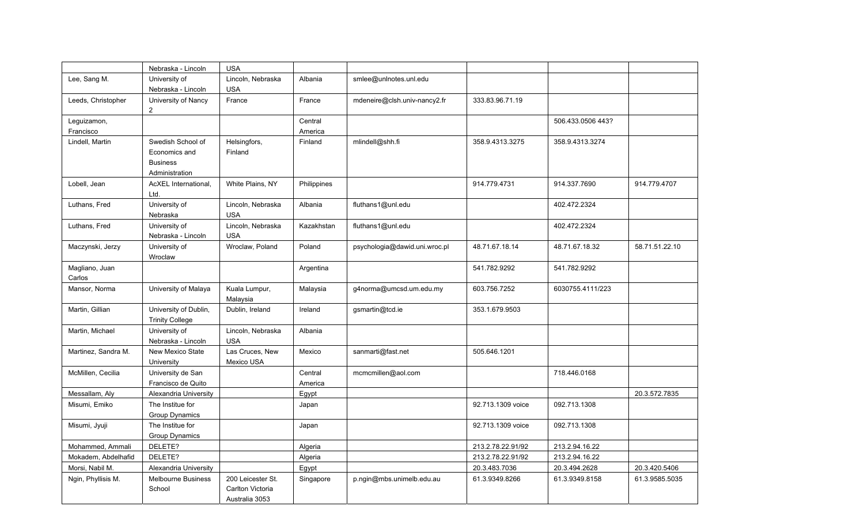|                          | Nebraska - Lincoln                                                      | <b>USA</b>                                              |                    |                               |                   |                   |                |
|--------------------------|-------------------------------------------------------------------------|---------------------------------------------------------|--------------------|-------------------------------|-------------------|-------------------|----------------|
| Lee, Sang M.             | University of<br>Nebraska - Lincoln                                     | Lincoln, Nebraska<br><b>USA</b>                         | Albania            | smlee@unlnotes.unl.edu        |                   |                   |                |
| Leeds, Christopher       | University of Nancy<br>$\overline{c}$                                   | France                                                  | France             | mdeneire@clsh.univ-nancy2.fr  | 333.83.96.71.19   |                   |                |
| Leguizamon,<br>Francisco |                                                                         |                                                         | Central<br>America |                               |                   | 506.433.0506 443? |                |
| Lindell, Martin          | Swedish School of<br>Economics and<br><b>Business</b><br>Administration | Helsingfors,<br>Finland                                 | Finland            | mlindell@shh.fi               | 358.9.4313.3275   | 358.9.4313.3274   |                |
| Lobell, Jean             | AcXEL International,<br>Ltd.                                            | White Plains, NY                                        | Philippines        |                               | 914.779.4731      | 914.337.7690      | 914.779.4707   |
| Luthans, Fred            | University of<br>Nebraska                                               | Lincoln, Nebraska<br><b>USA</b>                         | Albania            | fluthans1@unl.edu             |                   | 402.472.2324      |                |
| Luthans, Fred            | University of<br>Nebraska - Lincoln                                     | Lincoln, Nebraska<br><b>USA</b>                         | Kazakhstan         | fluthans1@unl.edu             |                   | 402.472.2324      |                |
| Maczynski, Jerzy         | University of<br>Wroclaw                                                | Wroclaw, Poland                                         | Poland             | psychologia@dawid.uni.wroc.pl | 48.71.67.18.14    | 48.71.67.18.32    | 58.71.51.22.10 |
| Magliano, Juan<br>Carlos |                                                                         |                                                         | Argentina          |                               | 541.782.9292      | 541.782.9292      |                |
| Mansor, Norma            | University of Malaya                                                    | Kuala Lumpur,<br>Malaysia                               | Malaysia           | g4norma@umcsd.um.edu.my       | 603.756.7252      | 6030755.4111/223  |                |
| Martin, Gillian          | University of Dublin,<br><b>Trinity College</b>                         | Dublin, Ireland                                         | Ireland            | gsmartin@tcd.ie               | 353.1.679.9503    |                   |                |
| Martin, Michael          | University of<br>Nebraska - Lincoln                                     | Lincoln, Nebraska<br><b>USA</b>                         | Albania            |                               |                   |                   |                |
| Martinez, Sandra M.      | New Mexico State<br>University                                          | Las Cruces, New<br>Mexico USA                           | Mexico             | sanmarti@fast.net             | 505.646.1201      |                   |                |
| McMillen, Cecilia        | University de San<br>Francisco de Quito                                 |                                                         | Central<br>America | mcmcmillen@aol.com            |                   | 718.446.0168      |                |
| Messallam, Aly           | Alexandria University                                                   |                                                         | Egypt              |                               |                   |                   | 20.3.572.7835  |
| Misumi, Emiko            | The Institue for<br><b>Group Dynamics</b>                               |                                                         | Japan              |                               | 92.713.1309 voice | 092.713.1308      |                |
| Misumi, Jyuji            | The Institue for<br>Group Dynamics                                      |                                                         | Japan              |                               | 92.713.1309 voice | 092.713.1308      |                |
| Mohammed, Ammali         | DELETE?                                                                 |                                                         | Algeria            |                               | 213.2.78.22.91/92 | 213.2.94.16.22    |                |
| Mokadem, Abdelhafid      | DELETE?                                                                 |                                                         | Algeria            |                               | 213.2.78.22.91/92 | 213.2.94.16.22    |                |
| Morsi, Nabil M.          | Alexandria University                                                   |                                                         | Egypt              |                               | 20.3.483.7036     | 20.3.494.2628     | 20.3.420.5406  |
| Ngin, Phyllisis M.       | <b>Melbourne Business</b><br>School                                     | 200 Leicester St.<br>Carlton Victoria<br>Australia 3053 | Singapore          | p.ngin@mbs.unimelb.edu.au     | 61.3.9349.8266    | 61.3.9349.8158    | 61.3.9585.5035 |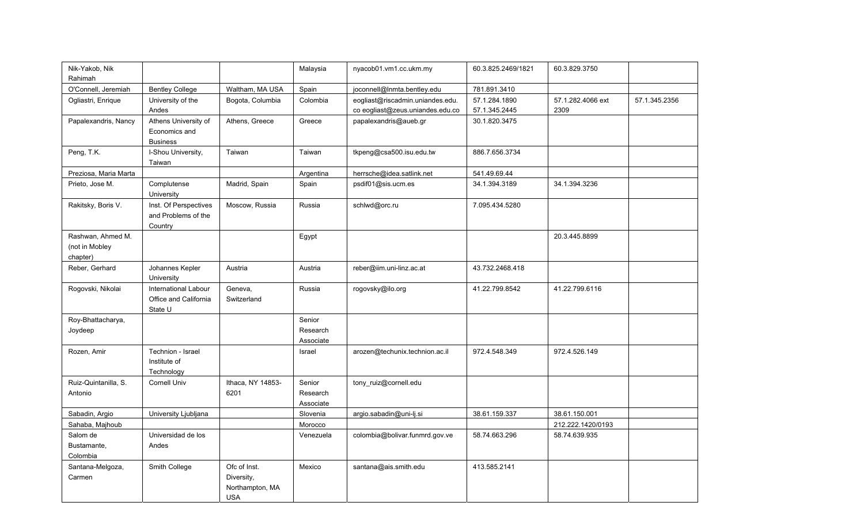| Nik-Yakob, Nik<br>Rahimah |                             |                   | Malaysia  | nyacob01.vm1.cc.ukm.my           | 60.3.825.2469/1821 | 60.3.829.3750     |               |
|---------------------------|-----------------------------|-------------------|-----------|----------------------------------|--------------------|-------------------|---------------|
| O'Connell, Jeremiah       | <b>Bentley College</b>      | Waltham, MA USA   | Spain     | joconnell@Inmta.bentley.edu      | 781.891.3410       |                   |               |
| Ogliastri, Enrique        | University of the           | Bogota, Columbia  | Colombia  | eogliast@riscadmin.uniandes.edu. | 57.1.284.1890      | 57.1.282.4066 ext | 57.1.345.2356 |
|                           | Andes                       |                   |           | co eogliast@zeus.uniandes.edu.co | 57.1.345.2445      | 2309              |               |
| Papalexandris, Nancy      | Athens University of        | Athens, Greece    | Greece    | papalexandris@aueb.gr            | 30.1.820.3475      |                   |               |
|                           | Economics and               |                   |           |                                  |                    |                   |               |
|                           | <b>Business</b>             |                   |           |                                  |                    |                   |               |
| Peng, T.K.                | I-Shou University,          | Taiwan            | Taiwan    | tkpeng@csa500.isu.edu.tw         | 886.7.656.3734     |                   |               |
|                           | Taiwan                      |                   |           |                                  |                    |                   |               |
| Preziosa, Maria Marta     |                             |                   | Argentina | herrsche@idea.satlink.net        | 541.49.69.44       |                   |               |
| Prieto, Jose M.           | Complutense                 | Madrid, Spain     | Spain     | psdif01@sis.ucm.es               | 34.1.394.3189      | 34.1.394.3236     |               |
|                           | University                  |                   |           |                                  |                    |                   |               |
| Rakitsky, Boris V.        | Inst. Of Perspectives       | Moscow, Russia    | Russia    | schlwd@orc.ru                    | 7.095.434.5280     |                   |               |
|                           | and Problems of the         |                   |           |                                  |                    |                   |               |
|                           | Country                     |                   |           |                                  |                    |                   |               |
| Rashwan, Ahmed M.         |                             |                   | Egypt     |                                  |                    | 20.3.445.8899     |               |
| (not in Mobley            |                             |                   |           |                                  |                    |                   |               |
| chapter)                  |                             |                   |           |                                  |                    |                   |               |
| Reber, Gerhard            | Johannes Kepler             | Austria           | Austria   | reber@iim.uni-linz.ac.at         | 43.732.2468.418    |                   |               |
|                           | University                  |                   |           |                                  |                    |                   |               |
| Rogovski, Nikolai         | <b>International Labour</b> | Geneva,           | Russia    | rogovsky@ilo.org                 | 41.22.799.8542     | 41.22.799.6116    |               |
|                           | Office and California       | Switzerland       |           |                                  |                    |                   |               |
| Roy-Bhattacharya,         | State U                     |                   | Senior    |                                  |                    |                   |               |
| Joydeep                   |                             |                   | Research  |                                  |                    |                   |               |
|                           |                             |                   | Associate |                                  |                    |                   |               |
| Rozen, Amir               | Technion - Israel           |                   | Israel    | arozen@techunix.technion.ac.il   | 972.4.548.349      | 972.4.526.149     |               |
|                           | Institute of                |                   |           |                                  |                    |                   |               |
|                           | Technology                  |                   |           |                                  |                    |                   |               |
| Ruiz-Quintanilla, S.      | Cornell Univ                | Ithaca, NY 14853- | Senior    | tony_ruiz@cornell.edu            |                    |                   |               |
| Antonio                   |                             | 6201              | Research  |                                  |                    |                   |               |
|                           |                             |                   | Associate |                                  |                    |                   |               |
| Sabadin, Argio            | University Ljubljana        |                   | Slovenia  | argio.sabadin@uni-lj.si          | 38.61.159.337      | 38.61.150.001     |               |
| Sahaba, Majhoub           |                             |                   | Morocco   |                                  |                    | 212.222.1420/0193 |               |
| Salom de                  | Universidad de los          |                   | Venezuela | colombia@bolivar.funmrd.gov.ve   | 58.74.663.296      | 58.74.639.935     |               |
| Bustamante,               | Andes                       |                   |           |                                  |                    |                   |               |
| Colombia                  |                             |                   |           |                                  |                    |                   |               |
| Santana-Melgoza,          | Smith College               | Ofc of Inst.      | Mexico    | santana@ais.smith.edu            | 413.585.2141       |                   |               |
| Carmen                    |                             | Diversity,        |           |                                  |                    |                   |               |
|                           |                             | Northampton, MA   |           |                                  |                    |                   |               |
|                           |                             | <b>USA</b>        |           |                                  |                    |                   |               |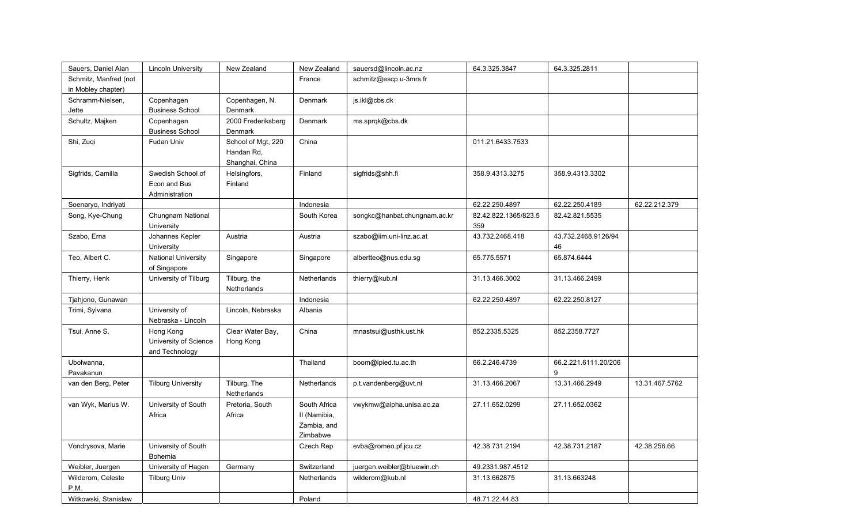| Sauers, Daniel Alan       | <b>Lincoln University</b>                            | New Zealand                                         | New Zealand                                             | sauersd@lincoln.ac.nz        | 64.3.325.3847               | 64.3.325.2811             |                |
|---------------------------|------------------------------------------------------|-----------------------------------------------------|---------------------------------------------------------|------------------------------|-----------------------------|---------------------------|----------------|
| Schmitz, Manfred (not     |                                                      |                                                     | France                                                  | schmitz@escp.u-3mrs.fr       |                             |                           |                |
| in Mobley chapter)        |                                                      |                                                     |                                                         |                              |                             |                           |                |
| Schramm-Nielsen,          | Copenhagen                                           | Copenhagen, N.                                      | Denmark                                                 | js.ikl@cbs.dk                |                             |                           |                |
| Jette                     | <b>Business School</b>                               | Denmark                                             |                                                         |                              |                             |                           |                |
| Schultz, Majken           | Copenhagen<br><b>Business School</b>                 | 2000 Frederiksberg<br>Denmark                       | Denmark                                                 | ms.sprqk@cbs.dk              |                             |                           |                |
| Shi, Zuqi                 | Fudan Univ                                           | School of Mgt, 220<br>Handan Rd,<br>Shanghai, China | China                                                   |                              | 011.21.6433.7533            |                           |                |
| Sigfrids, Camilla         | Swedish School of<br>Econ and Bus<br>Administration  | Helsingfors,<br>Finland                             | Finland                                                 | sigfrids@shh.fi              | 358.9.4313.3275             | 358.9.4313.3302           |                |
| Soenaryo, Indriyati       |                                                      |                                                     | Indonesia                                               |                              | 62.22.250.4897              | 62.22.250.4189            | 62.22.212.379  |
| Song, Kye-Chung           | Chungnam National<br>University                      |                                                     | South Korea                                             | songkc@hanbat.chungnam.ac.kr | 82.42.822.1365/823.5<br>359 | 82.42.821.5535            |                |
| Szabo, Erna               | Johannes Kepler<br>University                        | Austria                                             | Austria                                                 | szabo@iim.uni-linz.ac.at     | 43.732.2468.418             | 43.732.2468.9126/94<br>46 |                |
| Teo, Albert C.            | National University<br>of Singapore                  | Singapore                                           | Singapore                                               | albertteo@nus.edu.sg         | 65.775.5571                 | 65.874.6444               |                |
| Thierry, Henk             | University of Tilburg                                | Tilburg, the<br>Netherlands                         | Netherlands                                             | thierry@kub.nl               | 31.13.466.3002              | 31.13.466.2499            |                |
| Tjahjono, Gunawan         |                                                      |                                                     | Indonesia                                               |                              | 62.22.250.4897              | 62.22.250.8127            |                |
| Trimi, Sylvana            | University of<br>Nebraska - Lincoln                  | Lincoln, Nebraska                                   | Albania                                                 |                              |                             |                           |                |
| Tsui, Anne S.             | Hong Kong<br>University of Science<br>and Technology | Clear Water Bay,<br>Hong Kong                       | China                                                   | mnastsui@usthk.ust.hk        | 852.2335.5325               | 852.2358.7727             |                |
| Ubolwanna,<br>Pavakanun   |                                                      |                                                     | Thailand                                                | boom@ipied.tu.ac.th          | 66.2.246.4739               | 66.2.221.6111.20/206<br>9 |                |
| van den Berg, Peter       | <b>Tilburg University</b>                            | Tilburg, The<br>Netherlands                         | Netherlands                                             | p.t.vandenberg@uvt.nl        | 31.13.466.2067              | 13.31.466.2949            | 13.31.467.5762 |
| van Wyk, Marius W.        | University of South<br>Africa                        | Pretoria, South<br>Africa                           | South Africa<br>II (Namibia,<br>Zambia, and<br>Zimbabwe | vwykmw@alpha.unisa.ac.za     | 27.11.652.0299              | 27.11.652.0362            |                |
| Vondrysova, Marie         | University of South<br>Bohemia                       |                                                     | Czech Rep                                               | evba@romeo.pf.jcu.cz         | 42.38.731.2194              | 42.38.731.2187            | 42.38.256.66   |
| Weibler, Juergen          | University of Hagen                                  | Germany                                             | Switzerland                                             | juergen.weibler@bluewin.ch   | 49.2331.987.4512            |                           |                |
| Wilderom, Celeste<br>P.M. | <b>Tilburg Univ</b>                                  |                                                     | Netherlands                                             | wilderom@kub.nl              | 31.13.662875                | 31.13.663248              |                |
| Witkowski, Stanislaw      |                                                      |                                                     | Poland                                                  |                              | 48.71.22.44.83              |                           |                |